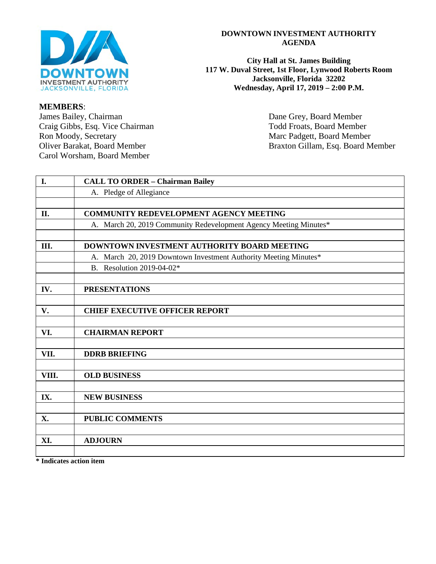

#### **DOWNTOWN INVESTMENT AUTHORITY AGENDA**

**City Hall at St. James Building 117 W. Duval Street, 1st Floor, Lynwood Roberts Room Jacksonville, Florida 32202 Wednesday, April 17, 2019 – 2:00 P.M.**

Oliver Barakat, Board Member Braxton Gillam, Esq. Board Member

**I. CALL TO ORDER – Chairman Bailey** A. Pledge of Allegiance **II. COMMUNITY REDEVELOPMENT AGENCY MEETING** A. March 20, 2019 Community Redevelopment Agency Meeting Minutes\* **III. DOWNTOWN INVESTMENT AUTHORITY BOARD MEETING**  A. March 20, 2019 Downtown Investment Authority Meeting Minutes\* B. Resolution 2019-04-02\* **IV. PRESENTATIONS V. CHIEF EXECUTIVE OFFICER REPORT VI. CHAIRMAN REPORT VII. DDRB BRIEFING VIII. OLD BUSINESS IX. NEW BUSINESS X. PUBLIC COMMENTS XI. ADJOURN**

**\* Indicates action item**

**MEMBERS**: James Bailey, Chairman Dane Grey, Board Member Craig Gibbs, Esq. Vice Chairman Todd Froats, Board Member Ron Moody, Secretary Marc Padgett, Board Member Carol Worsham, Board Member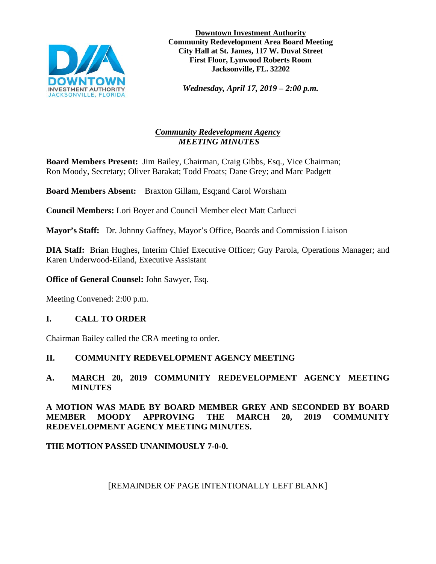

**Downtown Investment Authority Community Redevelopment Area Board Meeting City Hall at St. James, 117 W. Duval Street First Floor, Lynwood Roberts Room Jacksonville, FL. 32202** 

*Wednesday, April 17, 2019 – 2:00 p.m.* 

# *Community Redevelopment Agency MEETING MINUTES*

**Board Members Present:** Jim Bailey, Chairman, Craig Gibbs, Esq., Vice Chairman; Ron Moody, Secretary; Oliver Barakat; Todd Froats; Dane Grey; and Marc Padgett

**Board Members Absent:** Braxton Gillam, Esq;and Carol Worsham

**Council Members:** Lori Boyer and Council Member elect Matt Carlucci

**Mayor's Staff:** Dr. Johnny Gaffney, Mayor's Office, Boards and Commission Liaison

**DIA Staff:** Brian Hughes, Interim Chief Executive Officer; Guy Parola, Operations Manager; and Karen Underwood-Eiland, Executive Assistant

**Office of General Counsel:** John Sawyer, Esq.

Meeting Convened: 2:00 p.m.

# **I. CALL TO ORDER**

Chairman Bailey called the CRA meeting to order.

# **II. COMMUNITY REDEVELOPMENT AGENCY MEETING**

## **A. MARCH 20, 2019 COMMUNITY REDEVELOPMENT AGENCY MEETING MINUTES**

### **A MOTION WAS MADE BY BOARD MEMBER GREY AND SECONDED BY BOARD MEMBER MOODY APPROVING THE MARCH 20, 2019 COMMUNITY REDEVELOPMENT AGENCY MEETING MINUTES.**

### **THE MOTION PASSED UNANIMOUSLY 7-0-0.**

[REMAINDER OF PAGE INTENTIONALLY LEFT BLANK]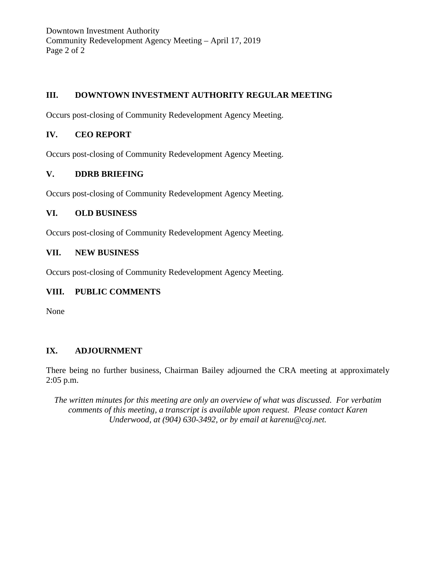Downtown Investment Authority Community Redevelopment Agency Meeting – April 17, 2019 Page 2 of 2

# **III. DOWNTOWN INVESTMENT AUTHORITY REGULAR MEETING**

Occurs post-closing of Community Redevelopment Agency Meeting.

#### **IV. CEO REPORT**

Occurs post-closing of Community Redevelopment Agency Meeting.

### **V. DDRB BRIEFING**

Occurs post-closing of Community Redevelopment Agency Meeting.

#### **VI. OLD BUSINESS**

Occurs post-closing of Community Redevelopment Agency Meeting.

#### **VII. NEW BUSINESS**

Occurs post-closing of Community Redevelopment Agency Meeting.

### **VIII. PUBLIC COMMENTS**

None

### **IX. ADJOURNMENT**

There being no further business, Chairman Bailey adjourned the CRA meeting at approximately 2:05 p.m.

*The written minutes for this meeting are only an overview of what was discussed. For verbatim comments of this meeting, a transcript is available upon request. Please contact Karen Underwood, at (904) 630-3492, or by email at karenu@coj.net.*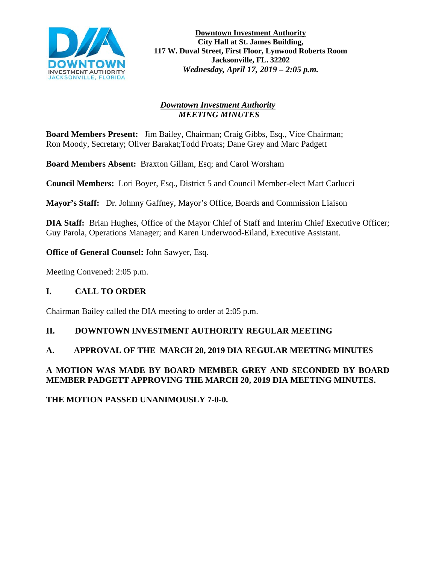

**Downtown Investment Authority City Hall at St. James Building, 117 W. Duval Street, First Floor, Lynwood Roberts Room Jacksonville, FL. 32202** *Wednesday, April 17, 2019 – 2:05 p.m.* 

#### *Downtown Investment Authority MEETING MINUTES*

**Board Members Present:** Jim Bailey, Chairman; Craig Gibbs, Esq., Vice Chairman; Ron Moody, Secretary; Oliver Barakat;Todd Froats; Dane Grey and Marc Padgett

**Board Members Absent:** Braxton Gillam, Esq; and Carol Worsham

**Council Members:** Lori Boyer, Esq., District 5 and Council Member-elect Matt Carlucci

**Mayor's Staff:** Dr. Johnny Gaffney, Mayor's Office, Boards and Commission Liaison

**DIA Staff:** Brian Hughes, Office of the Mayor Chief of Staff and Interim Chief Executive Officer; Guy Parola, Operations Manager; and Karen Underwood-Eiland, Executive Assistant.

**Office of General Counsel:** John Sawyer, Esq.

Meeting Convened: 2:05 p.m.

# **I. CALL TO ORDER**

Chairman Bailey called the DIA meeting to order at 2:05 p.m.

### **II. DOWNTOWN INVESTMENT AUTHORITY REGULAR MEETING**

### **A. APPROVAL OF THE MARCH 20, 2019 DIA REGULAR MEETING MINUTES**

# **A MOTION WAS MADE BY BOARD MEMBER GREY AND SECONDED BY BOARD MEMBER PADGETT APPROVING THE MARCH 20, 2019 DIA MEETING MINUTES.**

**THE MOTION PASSED UNANIMOUSLY 7-0-0.**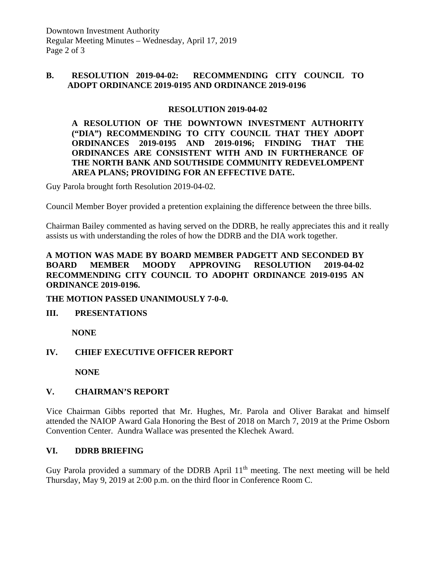#### **B. RESOLUTION 2019-04-02: RECOMMENDING CITY COUNCIL TO ADOPT ORDINANCE 2019-0195 AND ORDINANCE 2019-0196**

### **RESOLUTION 2019-04-02**

**A RESOLUTION OF THE DOWNTOWN INVESTMENT AUTHORITY ("DIA") RECOMMENDING TO CITY COUNCIL THAT THEY ADOPT ORDINANCES 2019-0195 AND 2019-0196; FINDING THAT THE ORDINANCES ARE CONSISTENT WITH AND IN FURTHERANCE OF THE NORTH BANK AND SOUTHSIDE COMMUNITY REDEVELOMPENT AREA PLANS; PROVIDING FOR AN EFFECTIVE DATE.**

Guy Parola brought forth Resolution 2019-04-02.

Council Member Boyer provided a pretention explaining the difference between the three bills.

Chairman Bailey commented as having served on the DDRB, he really appreciates this and it really assists us with understanding the roles of how the DDRB and the DIA work together.

### **A MOTION WAS MADE BY BOARD MEMBER PADGETT AND SECONDED BY BOARD MEMBER MOODY APPROVING RESOLUTION 2019-04-02 RECOMMENDING CITY COUNCIL TO ADOPHT ORDINANCE 2019-0195 AN ORDINANCE 2019-0196.**

### **THE MOTION PASSED UNANIMOUSLY 7-0-0.**

### **III. PRESENTATIONS**

**NONE**

### **IV. CHIEF EXECUTIVE OFFICER REPORT**

**NONE**

### **V. CHAIRMAN'S REPORT**

Vice Chairman Gibbs reported that Mr. Hughes, Mr. Parola and Oliver Barakat and himself attended the NAIOP Award Gala Honoring the Best of 2018 on March 7, 2019 at the Prime Osborn Convention Center. Aundra Wallace was presented the Klechek Award.

### **VI. DDRB BRIEFING**

Guy Parola provided a summary of the DDRB April 11<sup>th</sup> meeting. The next meeting will be held Thursday, May 9, 2019 at 2:00 p.m. on the third floor in Conference Room C.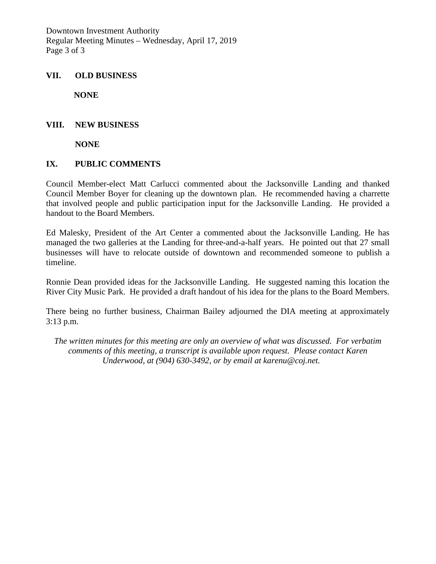Downtown Investment Authority Regular Meeting Minutes – Wednesday, April 17, 2019 Page 3 of 3

#### **VII. OLD BUSINESS**

**NONE**

#### **VIII. NEW BUSINESS**

**NONE**

#### **IX. PUBLIC COMMENTS**

Council Member-elect Matt Carlucci commented about the Jacksonville Landing and thanked Council Member Boyer for cleaning up the downtown plan. He recommended having a charrette that involved people and public participation input for the Jacksonville Landing. He provided a handout to the Board Members.

Ed Malesky, President of the Art Center a commented about the Jacksonville Landing. He has managed the two galleries at the Landing for three-and-a-half years. He pointed out that 27 small businesses will have to relocate outside of downtown and recommended someone to publish a timeline.

Ronnie Dean provided ideas for the Jacksonville Landing. He suggested naming this location the River City Music Park. He provided a draft handout of his idea for the plans to the Board Members.

There being no further business, Chairman Bailey adjourned the DIA meeting at approximately 3:13 p.m.

*The written minutes for this meeting are only an overview of what was discussed. For verbatim comments of this meeting, a transcript is available upon request. Please contact Karen Underwood, at (904) 630-3492, or by email at karenu@coj.net.*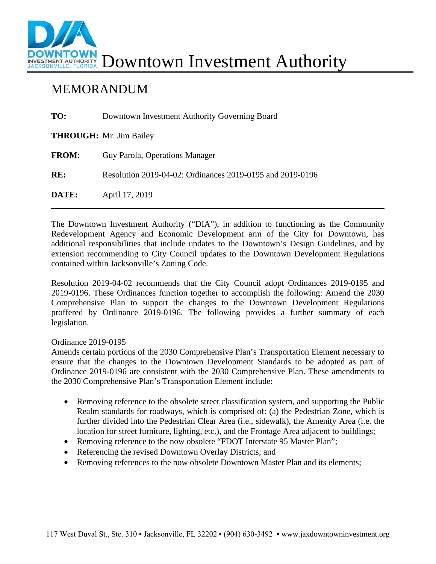

# MEMORANDUM

| TO:          | Downtown Investment Authority Governing Board             |
|--------------|-----------------------------------------------------------|
|              | <b>THROUGH:</b> Mr. Jim Bailey                            |
| <b>FROM:</b> | Guy Parola, Operations Manager                            |
| RE:          | Resolution 2019-04-02: Ordinances 2019-0195 and 2019-0196 |
| DATE:        | April 17, 2019                                            |

The Downtown Investment Authority ("DIA"), in addition to functioning as the Community Redevelopment Agency and Economic Development arm of the City for Downtown, has additional responsibilities that include updates to the Downtown's Design Guidelines, and by extension recommending to City Council updates to the Downtown Development Regulations contained within Jacksonville's Zoning Code.

Resolution 2019-04-02 recommends that the City Council adopt Ordinances 2019-0195 and 2019-0196. These Ordinances function together to accomplish the following: Amend the 2030 Comprehensive Plan to support the changes to the Downtown Development Regulations proffered by Ordinance 2019-0196. The following provides a further summary of each legislation.

### Ordinance 2019-0195

Amends certain portions of the 2030 Comprehensive Plan's Transportation Element necessary to ensure that the changes to the Downtown Development Standards to be adopted as part of Ordinance 2019-0196 are consistent with the 2030 Comprehensive Plan. These amendments to the 2030 Comprehensive Plan's Transportation Element include:

- Removing reference to the obsolete street classification system, and supporting the Public Realm standards for roadways, which is comprised of: (a) the Pedestrian Zone, which is further divided into the Pedestrian Clear Area (i.e., sidewalk), the Amenity Area (i.e. the location for street furniture, lighting, etc.), and the Frontage Area adjacent to buildings;
- Removing reference to the now obsolete "FDOT Interstate 95 Master Plan";
- Referencing the revised Downtown Overlay Districts; and
- Removing references to the now obsolete Downtown Master Plan and its elements;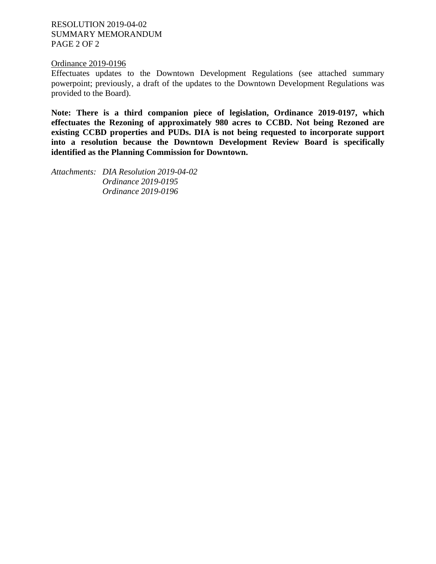RESOLUTION 2019-04-02 SUMMARY MEMORANDUM PAGE 2 OF 2

#### Ordinance 2019-0196

Effectuates updates to the Downtown Development Regulations (see attached summary powerpoint; previously, a draft of the updates to the Downtown Development Regulations was provided to the Board).

**Note: There is a third companion piece of legislation, Ordinance 2019-0197, which effectuates the Rezoning of approximately 980 acres to CCBD. Not being Rezoned are existing CCBD properties and PUDs. DIA is not being requested to incorporate support into a resolution because the Downtown Development Review Board is specifically identified as the Planning Commission for Downtown.** 

*Attachments: DIA Resolution 2019-04-02 Ordinance 2019-0195 Ordinance 2019-0196*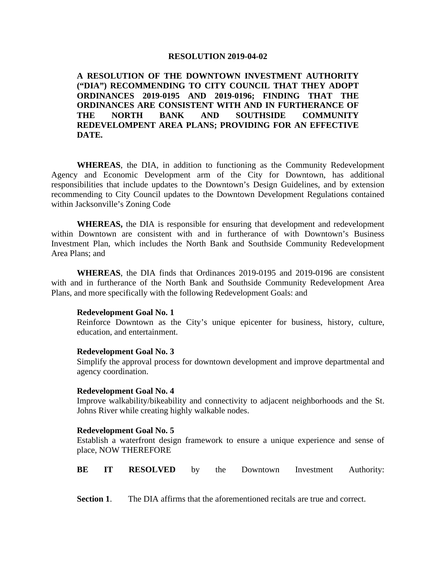#### **RESOLUTION 2019-04-02**

**A RESOLUTION OF THE DOWNTOWN INVESTMENT AUTHORITY ("DIA") RECOMMENDING TO CITY COUNCIL THAT THEY ADOPT ORDINANCES 2019-0195 AND 2019-0196; FINDING THAT THE ORDINANCES ARE CONSISTENT WITH AND IN FURTHERANCE OF THE NORTH BANK AND SOUTHSIDE COMMUNITY REDEVELOMPENT AREA PLANS; PROVIDING FOR AN EFFECTIVE DATE.**

**WHEREAS**, the DIA, in addition to functioning as the Community Redevelopment Agency and Economic Development arm of the City for Downtown, has additional responsibilities that include updates to the Downtown's Design Guidelines, and by extension recommending to City Council updates to the Downtown Development Regulations contained within Jacksonville's Zoning Code

**WHEREAS,** the DIA is responsible for ensuring that development and redevelopment within Downtown are consistent with and in furtherance of with Downtown's Business Investment Plan, which includes the North Bank and Southside Community Redevelopment Area Plans; and

**WHEREAS**, the DIA finds that Ordinances 2019-0195 and 2019-0196 are consistent with and in furtherance of the North Bank and Southside Community Redevelopment Area Plans, and more specifically with the following Redevelopment Goals: and

#### **Redevelopment Goal No. 1**

Reinforce Downtown as the City's unique epicenter for business, history, culture, education, and entertainment.

#### **Redevelopment Goal No. 3**

Simplify the approval process for downtown development and improve departmental and agency coordination.

#### **Redevelopment Goal No. 4**

Improve walkability/bikeability and connectivity to adjacent neighborhoods and the St. Johns River while creating highly walkable nodes.

#### **Redevelopment Goal No. 5**

Establish a waterfront design framework to ensure a unique experience and sense of place, NOW THEREFORE

**BE IT RESOLVED** by the Downtown Investment Authority:

**Section 1**. The DIA affirms that the aforementioned recitals are true and correct.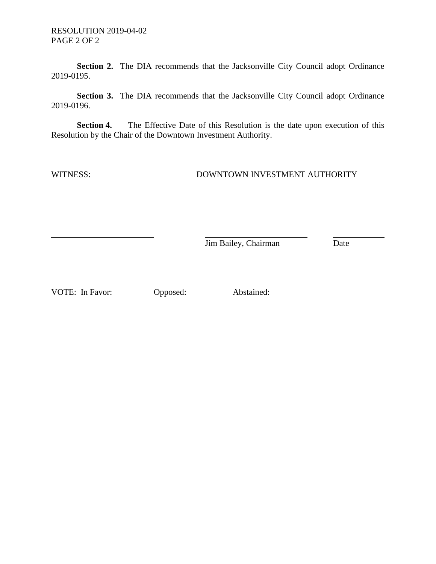**Section 2.** The DIA recommends that the Jacksonville City Council adopt Ordinance 2019-0195.

**Section 3.** The DIA recommends that the Jacksonville City Council adopt Ordinance 2019-0196.

**Section 4.** The Effective Date of this Resolution is the date upon execution of this Resolution by the Chair of the Downtown Investment Authority.

WITNESS: DOWNTOWN INVESTMENT AUTHORITY

**Jim Bailey, Chairman** Date

VOTE: In Favor: Opposed: Abstained: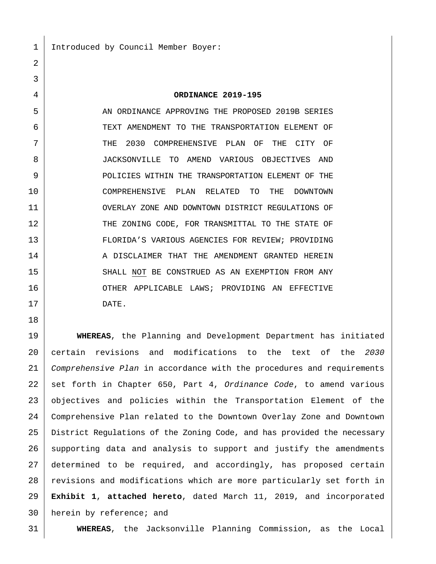Introduced by Council Member Boyer:

**ORDINANCE 2019-195**

5 AN ORDINANCE APPROVING THE PROPOSED 2019B SERIES 6 TEXT AMENDMENT TO THE TRANSPORTATION ELEMENT OF THE 2030 COMPREHENSIVE PLAN OF THE CITY OF JACKSONVILLE TO AMEND VARIOUS OBJECTIVES AND 9 | POLICIES WITHIN THE TRANSPORTATION ELEMENT OF THE COMPREHENSIVE PLAN RELATED TO THE DOWNTOWN OVERLAY ZONE AND DOWNTOWN DISTRICT REGULATIONS OF 12 THE ZONING CODE, FOR TRANSMITTAL TO THE STATE OF FLORIDA'S VARIOUS AGENCIES FOR REVIEW; PROVIDING 14 A DISCLAIMER THAT THE AMENDMENT GRANTED HEREIN 15 | SHALL NOT BE CONSTRUED AS AN EXEMPTION FROM ANY 16 OTHER APPLICABLE LAWS; PROVIDING AN EFFECTIVE DATE.

 **WHEREAS**, the Planning and Development Department has initiated certain revisions and modifications to the text of the *2030 Comprehensive Plan* in accordance with the procedures and requirements set forth in Chapter 650, Part 4, *Ordinance Code*, to amend various objectives and policies within the Transportation Element of the Comprehensive Plan related to the Downtown Overlay Zone and Downtown District Regulations of the Zoning Code, and has provided the necessary 26 supporting data and analysis to support and justify the amendments determined to be required, and accordingly, has proposed certain 28 revisions and modifications which are more particularly set forth in **Exhibit 1**, **attached hereto**, dated March 11, 2019, and incorporated herein by reference; and

**WHEREAS**, the Jacksonville Planning Commission, as the Local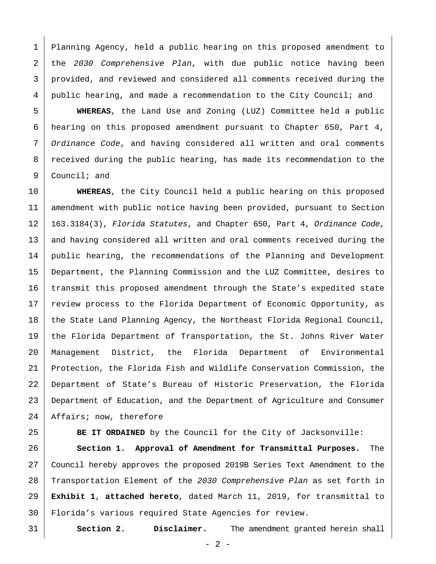Planning Agency, held a public hearing on this proposed amendment to the *2030 Comprehensive Plan*, with due public notice having been provided, and reviewed and considered all comments received during the public hearing, and made a recommendation to the City Council; and

 **WHEREAS**, the Land Use and Zoning (LUZ) Committee held a public hearing on this proposed amendment pursuant to Chapter 650, Part 4, *Ordinance Code*, and having considered all written and oral comments 8 | received during the public hearing, has made its recommendation to the Council; and

 **WHEREAS**, the City Council held a public hearing on this proposed amendment with public notice having been provided, pursuant to Section 163.3184(3), *Florida Statutes*, and Chapter 650, Part 4, *Ordinance Code*, 13 and having considered all written and oral comments received during the public hearing, the recommendations of the Planning and Development Department, the Planning Commission and the LUZ Committee, desires to 16 transmit this proposed amendment through the State's expedited state 17 review process to the Florida Department of Economic Opportunity, as 18 the State Land Planning Agency, the Northeast Florida Regional Council, the Florida Department of Transportation, the St. Johns River Water Management District, the Florida Department of Environmental Protection, the Florida Fish and Wildlife Conservation Commission, the Department of State's Bureau of Historic Preservation, the Florida Department of Education, and the Department of Agriculture and Consumer 24 | Affairs; now, therefore

**BE IT ORDAINED** by the Council for the City of Jacksonville:

 **Section 1. Approval of Amendment for Transmittal Purposes.** The Council hereby approves the proposed 2019B Series Text Amendment to the Transportation Element of the *2030 Comprehensive Plan* as set forth in **Exhibit 1**, **attached hereto**, dated March 11, 2019, for transmittal to Florida's various required State Agencies for review.

**Section 2. Disclaimer.** The amendment granted herein shall